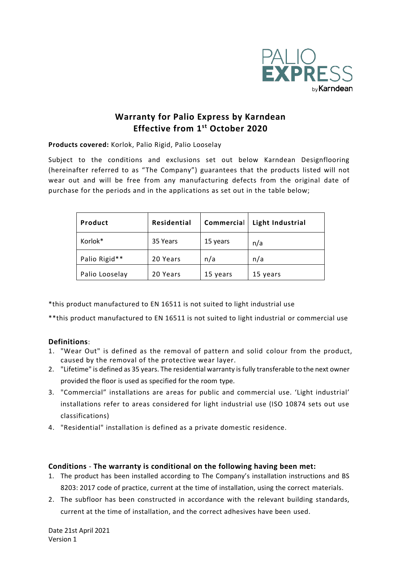

# **Warranty for Palio Express by Karndean Effective from 1 st October 2020**

**Products covered:** Korlok, Palio Rigid, Palio Looselay

Subject to the conditions and exclusions set out below Karndean Designflooring (hereinafter referred to as "The Company") guarantees that the products listed will not wear out and will be free from any manufacturing defects from the original date of purchase for the periods and in the applications as set out in the table below;

| Product        | Residential | Commercial | Light Industrial |
|----------------|-------------|------------|------------------|
| Korlok*        | 35 Years    | 15 years   | n/a              |
| Palio Rigid**  | 20 Years    | n/a        | n/a              |
| Palio Looselay | 20 Years    | 15 years   | 15 years         |

\*this product manufactured to EN 16511 is not suited to light industrial use

\*\*this product manufactured to EN 16511 is not suited to light industrial or commercial use

## **Definitions**:

- 1. "Wear Out" is defined as the removal of pattern and solid colour from the product, caused by the removal of the protective wear layer.
- 2. "Lifetime" is defined as 35 years. The residential warranty is fully transferable to the next owner provided the floor is used as specified for the room type.
- 3. "Commercial" installations are areas for public and commercial use. 'Light industrial' installations refer to areas considered for light industrial use (ISO 10874 sets out use classifications)
- 4. "Residential" installation is defined as a private domestic residence.

#### **Conditions** - **The warranty is conditional on the following having been met:**

- 1. The product has been installed according to The Company's installation instructions and BS 8203: 2017 code of practice, current at the time of installation, using the correct materials.
- 2. The subfloor has been constructed in accordance with the relevant building standards, current at the time of installation, and the correct adhesives have been used.

Date 21st April 2021 Version 1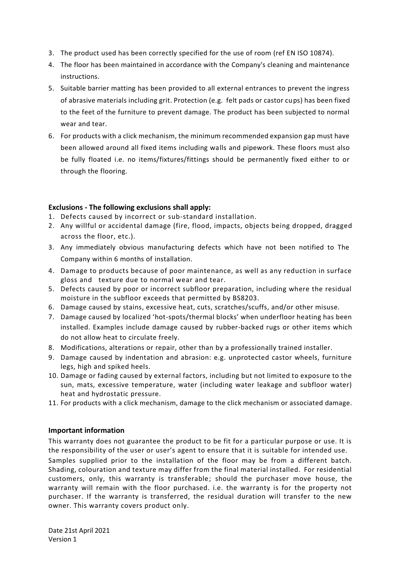- 3. The product used has been correctly specified for the use of room (ref EN ISO 10874).
- 4. The floor has been maintained in accordance with the Company's cleaning and maintenance instructions.
- 5. Suitable barrier matting has been provided to all external entrances to prevent the ingress of abrasive materials including grit. Protection (e.g. felt pads or castor cups) has been fixed to the feet of the furniture to prevent damage. The product has been subjected to normal wear and tear.
- 6. For products with a click mechanism, the minimum recommended expansion gap must have been allowed around all fixed items including walls and pipework. These floors must also be fully floated i.e. no items/fixtures/fittings should be permanently fixed either to or through the flooring.

#### **Exclusions - The following exclusions shall apply:**

- 1. Defects caused by incorrect or sub-standard installation.
- 2. Any willful or accidental damage (fire, flood, impacts, objects being dropped, dragged across the floor, etc.).
- 3. Any immediately obvious manufacturing defects which have not been notified to The Company within 6 months of installation.
- 4. Damage to products because of poor maintenance, as well as any reduction in surface gloss and texture due to normal wear and tear.
- 5. Defects caused by poor or incorrect subfloor preparation, including where the residual moisture in the subfloor exceeds that permitted by BS8203.
- 6. Damage caused by stains, excessive heat, cuts, scratches/scuffs, and/or other misuse.
- 7. Damage caused by localized 'hot-spots/thermal blocks' when underfloor heating has been installed. Examples include damage caused by rubber-backed rugs or other items which do not allow heat to circulate freely.
- 8. Modifications, alterations or repair, other than by a professionally trained installer.
- 9. Damage caused by indentation and abrasion: e.g. unprotected castor wheels, furniture legs, high and spiked heels.
- 10. Damage or fading caused by external factors, including but not limited to exposure to the sun, mats, excessive temperature, water (including water leakage and subfloor water) heat and hydrostatic pressure.
- 11. For products with a click mechanism, damage to the click mechanism or associated damage.

#### **Important information**

This warranty does not guarantee the product to be fit for a particular purpose or use. It is the responsibility of the user or user's agent to ensure that it is suitable for intended use.

Samples supplied prior to the installation of the floor may be from a different batch. Shading, colouration and texture may differ from the final material installed. For residential customers, only, this warranty is transferable; should the purchaser move house, the warranty will remain with the floor purchased. i.e. the warranty is for the property not purchaser. If the warranty is transferred, the residual duration will transfer to the new owner. This warranty covers product only.

Date 21st April 2021 Version 1